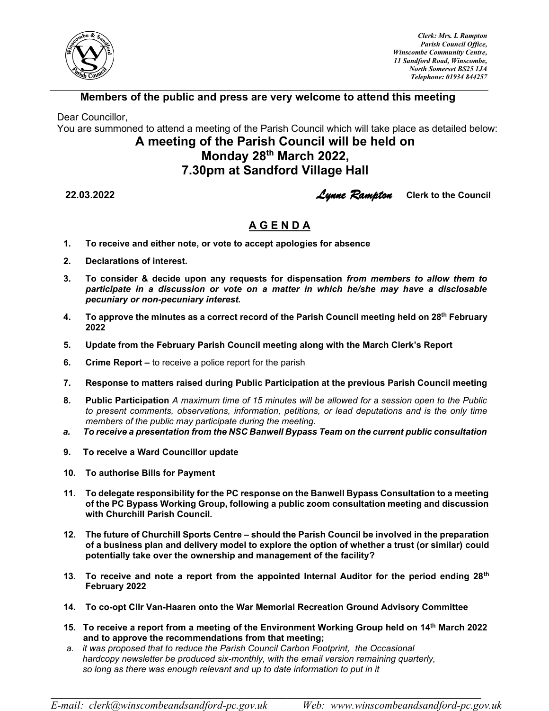

*Clerk: Mrs. L Rampton Parish Council Office, Winscombe Community Centre, 11 Sandford Road, Winscombe, North Somerset BS25 1JA Telephone: 01934 844257* 

## **Members of the public and press are very welcome to attend this meeting**

Dear Councillor,

You are summoned to attend a meeting of the Parish Council which will take place as detailed below:

## **A meeting of the Parish Council will be held on Monday 28 th March 2022, 7.30pm at Sandford Village Hall**

**22.03.2022** *Lynne Rampton* **Clerk to the Council**

## **A G E N D A**

- **1. To receive and either note, or vote to accept apologies for absence**
- **2. Declarations of interest.**
- **3. To consider & decide upon any requests for dispensation** *from members to allow them to participate in a discussion or vote on a matter in which he/she may have a disclosable pecuniary or non-pecuniary interest.*
- **4. To approve the minutes as a correct record of the Parish Council meeting held on 28 th February 2022**
- **5. Update from the February Parish Council meeting along with the March Clerk's Report**
- **6. Crime Report –** to receive a police report for the parish
- **7. Response to matters raised during Public Participation at the previous Parish Council meeting**
- **8. Public Participation** *A maximum time of 15 minutes will be allowed for a session open to the Public to present comments, observations, information, petitions, or lead deputations and is the only time members of the public may participate during the meeting.*
- *a. To receive a presentation from the NSC Banwell Bypass Team on the current public consultation*
- **9. To receive a Ward Councillor update**
- **10. To authorise Bills for Payment**
- **11. To delegate responsibility for the PC response on the Banwell Bypass Consultation to a meeting of the PC Bypass Working Group, following a public zoom consultation meeting and discussion with Churchill Parish Council.**
- **12. The future of Churchill Sports Centre – should the Parish Council be involved in the preparation of a business plan and delivery model to explore the option of whether a trust (or similar) could potentially take over the ownership and management of the facility?**
- **13. To receive and note a report from the appointed Internal Auditor for the period ending 28th February 2022**
- **14. To co-opt Cllr Van-Haaren onto the War Memorial Recreation Ground Advisory Committee**

**\_\_\_\_\_\_\_\_\_\_\_\_\_\_\_\_\_\_\_\_\_\_\_\_\_\_\_\_\_\_\_\_\_\_\_\_\_\_\_\_\_\_\_\_\_\_\_\_\_\_\_\_\_\_\_\_\_\_\_\_\_\_\_\_\_\_\_\_\_\_\_\_\_\_\_\_\_\_\_\_**

- **15. To receive a report from a meeting of the Environment Working Group held on 14th March 2022 and to approve the recommendations from that meeting;**
- *a. it was proposed that to reduce the Parish Council Carbon Footprint, the Occasional hardcopy newsletter be produced six-monthly, with the email version remaining quarterly, so long as there was enough relevant and up to date information to put in it*